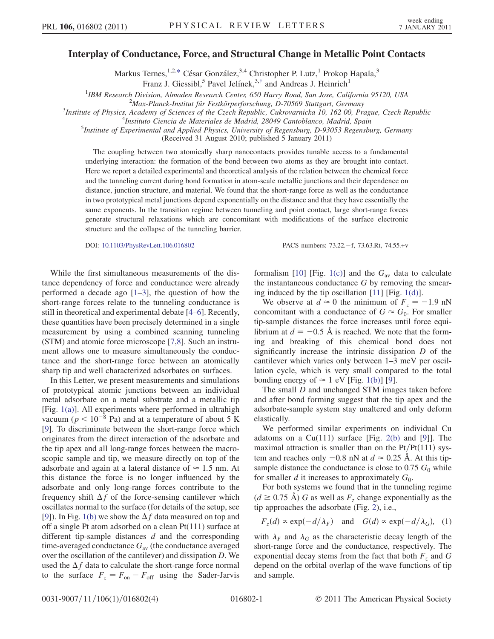## <span id="page-0-0"></span>Interplay of Conductance, Force, and Structural Change in Metallic Point Contacts

Markus Ternes,<sup>1,2,[\\*](#page-3-0)</sup> César González,<sup>3,4</sup> Christopher P. Lutz,<sup>1</sup> Prokop Hapala,<sup>3</sup>

Franz J. Giessibl,<sup>5</sup> Pavel Jelínek,<sup>3,[†](#page-3-1)</sup> and Andreas J. Heinrich<sup>1</sup>

<sup>1</sup>IBM Research Division, Almaden Research Center, 650 Harry Road, San Jose, California 95120, USA<br><sup>2</sup>Max Planek Institut für Festkörnerforschung, D. 70560 Stuttgart Cermany

<span id="page-0-1"></span> $Max$ -Planck-Institut für Festkörperforschung, D-70569 Stuttgart, Germany<sup>3</sup> Institute of Physics, Academy of Sciences of the Czech Benublic, Cukrovarnicka 10, 162,00, Pr

Institute of Physics, Academy of Sciences of the Czech Republic, Cukrovarnicka 10, 162 00, Prague, Czech Republic <sup>4</sup>

<sup>4</sup>Instituto Ciencia de Materiales de Madrid, 28049 Cantoblanco, Madrid, Spain

<sup>5</sup>Institute of Experimental and Applied Physics, University of Regensburg, D-93053 Regensburg, Germany

(Received 31 August 2010; published 5 January 2011)

The coupling between two atomically sharp nanocontacts provides tunable access to a fundamental underlying interaction: the formation of the bond between two atoms as they are brought into contact. Here we report a detailed experimental and theoretical analysis of the relation between the chemical force and the tunneling current during bond formation in atom-scale metallic junctions and their dependence on distance, junction structure, and material. We found that the short-range force as well as the conductance in two prototypical metal junctions depend exponentially on the distance and that they have essentially the same exponents. In the transition regime between tunneling and point contact, large short-range forces generate structural relaxations which are concomitant with modifications of the surface electronic structure and the collapse of the tunneling barrier.

DOI: [10.1103/PhysRevLett.106.016802](http://dx.doi.org/10.1103/PhysRevLett.106.016802) PACS numbers: 73.22.f, 73.63.Rt, 74.55.+v

While the first simultaneous measurements of the distance dependency of force and conductance were already performed a decade ago  $[1-3]$  $[1-3]$  $[1-3]$ , the question of how the short-range forces relate to the tunneling conductance is still in theoretical and experimental debate [[4](#page-3-4)[–6\]](#page-3-5). Recently, these quantities have been precisely determined in a single measurement by using a combined scanning tunneling (STM) and atomic force microscope [\[7,](#page-3-6)[8](#page-3-7)]. Such an instrument allows one to measure simultaneously the conductance and the short-range force between an atomically sharp tip and well characterized adsorbates on surfaces.

In this Letter, we present measurements and simulations of prototypical atomic junctions between an individual metal adsorbate on a metal substrate and a metallic tip [Fig.  $1(a)$ ]. All experiments where performed in ultrahigh vacuum ( $p < 10^{-8}$  Pa) and at a temperature of about 5 K [\[9\]](#page-3-8). To discriminate between the short-range force which originates from the direct interaction of the adsorbate and the tip apex and all long-range forces between the macroscopic sample and tip, we measure directly on top of the adsorbate and again at a lateral distance of  $\approx 1.5$  nm. At this distance the force is no longer influenced by the adsorbate and only long-range forces contribute to the frequency shift  $\Delta f$  of the force-sensing cantilever which oscillates normal to the surface (for details of the setup, see [\[9\]](#page-3-8)). In Fig. [1\(b\)](#page-1-0) we show the  $\Delta f$  data measured on top and off a single Pt atom adsorbed on a clean Pt(111) surface at different tip-sample distances  $d$  and the corresponding time-averaged conductance  $G_{av}$  (the conductance averaged over the oscillation of the cantilever) and dissipation D. We used the  $\Delta f$  data to calculate the short-range force normal to the surface  $F_z = F_{\text{on}} - F_{\text{off}}$  using the Sader-Jarvis

formalism [[10](#page-3-9)] [Fig. [1\(c\)\]](#page-1-0) and the  $G_{av}$  data to calculate the instantaneous conductance G by removing the smearing induced by the tip oscillation [\[11\]](#page-3-10) [Fig. [1\(d\)\]](#page-1-0).

We observe at  $d \approx 0$  the minimum of  $F_z = -1.9$  nN concomitant with a conductance of  $G \approx G_0$ . For smaller tip-sample distances the force increases until force equilibrium at  $d = -0.5$  Å is reached. We note that the forming and breaking of this chemical bond does not significantly increase the intrinsic dissipation D of the cantilever which varies only between 1–3 meV per oscillation cycle, which is very small compared to the total bonding energy of  $\approx 1$  eV [Fig. [1\(b\)\]](#page-1-0) [[9\]](#page-3-8).

The small *D* and unchanged STM images taken before and after bond forming suggest that the tip apex and the adsorbate-sample system stay unaltered and only deform elastically.

We performed similar experiments on individual Cu adatoms on a  $Cu(111)$  surface [Fig. [2\(b\)](#page-1-1) and [\[9](#page-3-8)]]. The maximal attraction is smaller than on the  $Pt/Pt(111)$  system and reaches only  $-0.8$  nN at  $d \approx 0.25$  Å. At this tipsample distance the conductance is close to 0.75  $G_0$  while for smaller  $d$  it increases to approximately  $G_0$ .

For both systems we found that in the tunneling regime  $(d \ge 0.75 \text{ Å})$  G as well as  $F_z$  change exponentially as the tip approaches the adsorbate (Fig. [2\)](#page-1-2), i.e.,

$$
F_z(d) \propto \exp(-d/\lambda_F)
$$
 and  $G(d) \propto \exp(-d/\lambda_G)$ , (1)

with  $\lambda_F$  and  $\lambda_G$  as the characteristic decay length of the short-range force and the conductance, respectively. The exponential decay stems from the fact that both  $F<sub>z</sub>$  and  $G$ depend on the orbital overlap of the wave functions of tip and sample.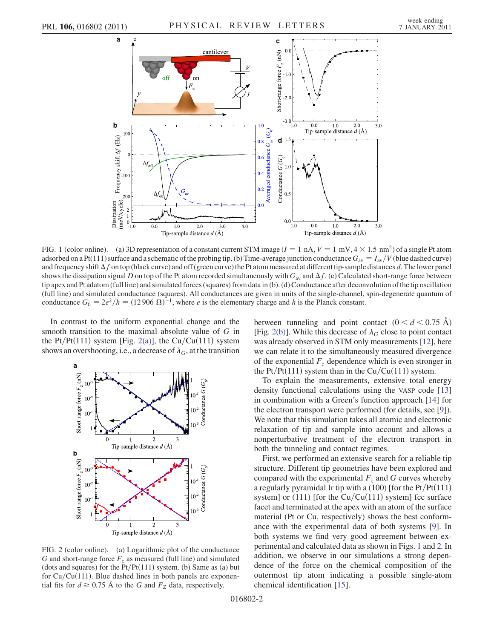<span id="page-1-3"></span>

<span id="page-1-0"></span>FIG. 1 (color online). (a) 3D representation of a constant current STM image ( $I = 1 \text{ nA}$ ,  $V = 1 \text{ mV}$ ,  $4 \times 1.5 \text{ nm}^2$ ) of a single Pt atom adsorbed on a Pt(111) surface and a schematic of the probing tip. (b) Time-average junction conductance  $G_{av} = I_{av}/V$  (blue dashed curve) and frequency shift  $\Delta f$  on top (black curve) and off (green curve) the Pt atom measured at different tip-sample distances d. The lower panel shows the dissipation signal D on top of the Pt atom recorded simultaneously with  $G_{av}$  and  $\Delta f$ . (c) Calculated short-range force between tip apex and Pt adatom (full line) and simulated forces (squares) from data in (b). (d) Conductance after deconvolution of the tip oscillation (full line) and simulated conductance (squares). All conductances are given in units of the single-channel, spin-degenerate quantum of conductance  $G_0 = 2e^2/h = (12906 \Omega)^{-1}$ , where *e* is the elementary charge and *h* is the Planck constant.

In contrast to the uniform exponential change and the smooth transition to the maximal absolute value of G in the Pt/Pt $(111)$  system [Fig. [2\(a\)\]](#page-1-1), the Cu/Cu $(111)$  system shows an overshooting, i.e., a decrease of  $\lambda_G$ , at the transition

<span id="page-1-2"></span>

<span id="page-1-1"></span>FIG. 2 (color online). (a) Logarithmic plot of the conductance G and short-range force  $F<sub>z</sub>$  as measured (full line) and simulated (dots and squares) for the  $Pt/Pt(111)$  system. (b) Same as (a) but for  $Cu/Cu(111)$ . Blue dashed lines in both panels are exponential fits for  $d \ge 0.75$  Å to the G and  $F_Z$  data, respectively.

between tunneling and point contact  $(0 < d < 0.75 \text{ Å})$ [Fig. [2\(b\)](#page-1-1)]. While this decrease of  $\lambda_G$  close to point contact was already observed in STM only measurements [[12](#page-3-11)], here we can relate it to the simultaneously measured divergence of the exponential  $F<sub>z</sub>$  dependence which is even stronger in the Pt/Pt(111) system than in the Cu/Cu(111) system.

To explain the measurements, extensive total energy density functional calculations using the VASP code [\[13\]](#page-3-12) in combination with a Green's function approach [[14](#page-3-13)] for the electron transport were performed (for details, see [\[9](#page-3-8)]). We note that this simulation takes all atomic and electronic relaxation of tip and sample into account and allows a nonperturbative treatment of the electron transport in both the tunneling and contact regimes.

First, we performed an extensive search for a reliable tip structure. Different tip geometries have been explored and compared with the experimental  $F<sub>z</sub>$  and G curves whereby a regularly pyramidal Ir tip with a  $(100)$  [for the Pt/Pt $(111)$ system] or (111) [for the  $Cu/Cu(111)$  system] fcc surface facet and terminated at the apex with an atom of the surface material (Pt or Cu, respectively) shows the best conformance with the experimental data of both systems [[9\]](#page-3-8). In both systems we find very good agreement between experimental and calculated data as shown in Figs. [1](#page-1-3) and [2.](#page-1-2) In addition, we observe in our simulations a strong dependence of the force on the chemical composition of the outermost tip atom indicating a possible single-atom chemical identification [[15](#page-3-14)].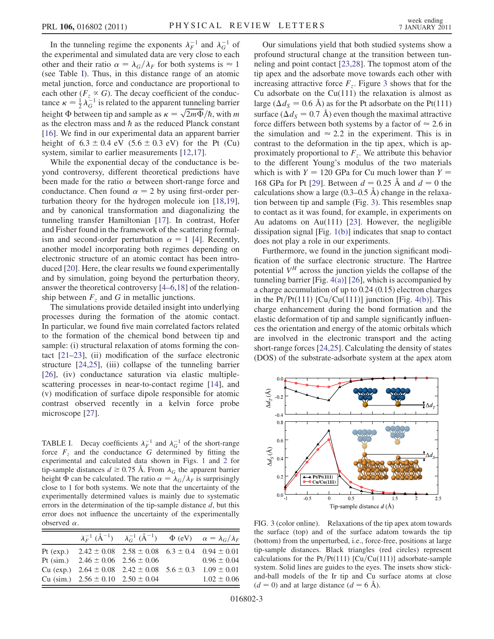In the tunneling regime the exponents  $\lambda_F^{-1}$  and  $\lambda_G^{-1}$  of the experimental and simulated data are very close to each other and their ratio  $\alpha = \lambda_G/\lambda_F$  for both systems is  $\approx 1$ (see Table [I](#page-2-0)). Thus, in this distance range of an atomic metal junction, force and conductance are proportional to each other ( $F_z \propto G$ ). The decay coefficient of the conductance  $\kappa = \frac{1}{2} \lambda_G^{-1}$  is related to the apparent tunneling barrier tance  $\kappa = \frac{1}{2} \lambda_G$  is related to the apparent tunneling barrier<br>height  $\Phi$  between tip and sample as  $\kappa = \sqrt{2m\Phi}/\hbar$ , with m as the electron mass and  $\hbar$  as the reduced Planck constant [\[16\]](#page-3-15). We find in our experimental data an apparent barrier height of  $6.3 \pm 0.4$  eV  $(5.6 \pm 0.3$  eV) for the Pt (Cu) system, similar to earlier measurements [\[12,](#page-3-11)[17](#page-3-16)].

While the exponential decay of the conductance is beyond controversy, different theoretical predictions have been made for the ratio  $\alpha$  between short-range force and conductance. Chen found  $\alpha = 2$  by using first-order perturbation theory for the hydrogen molecule ion [\[18](#page-3-17)[,19\]](#page-3-18), and by canonical transformation and diagonalizing the tunneling transfer Hamiltonian [[17](#page-3-16)]. In contrast, Hofer and Fisher found in the framework of the scattering formalism and second-order perturbation  $\alpha = 1$  [[4](#page-3-4)]. Recently, another model incorporating both regimes depending on electronic structure of an atomic contact has been introduced [[20](#page-3-19)]. Here, the clear results we found experimentally and by simulation, going beyond the perturbation theory, answer the theoretical controversy [[4](#page-3-4)[–6](#page-3-5)[,18](#page-3-17)] of the relationship between  $F<sub>z</sub>$  and G in metallic junctions.

The simulations provide detailed insight into underlying processes during the formation of the atomic contact. In particular, we found five main correlated factors related to the formation of the chemical bond between tip and sample: (i) structural relaxation of atoms forming the contact  $[21-23]$  $[21-23]$  $[21-23]$ , (ii) modification of the surface electronic structure [\[24](#page-3-22)[,25\]](#page-3-23), (iii) collapse of the tunneling barrier [\[26\]](#page-3-24), (iv) conductance saturation via elastic multiplescattering processes in near-to-contact regime [[14](#page-3-13)], and (v) modification of surface dipole responsible for atomic contrast observed recently in a kelvin force probe microscope [[27](#page-3-25)].

<span id="page-2-0"></span>TABLE I. Decay coefficients  $\lambda_F^{-1}$  and  $\lambda_G^{-1}$  of the short-range force  $F<sub>z</sub>$  and the conductance G determined by fitting the experimental and calculated data shown in Figs. [1](#page-1-3) and [2](#page-1-2) for tip-sample distances  $d \ge 0.75$  Å. From  $\lambda_G$  the apparent barrier height  $\Phi$  can be calculated. The ratio  $\alpha = \lambda_G/\lambda_F$  is surprisingly close to 1 for both systems. We note that the uncertainty of the experimentally determined values is mainly due to systematic errors in the determination of the tip-sample distance  $d$ , but this error does not influence the uncertainty of the experimentally observed  $\alpha$ .

|                                           | $\lambda_F^{-1} (\mathring{A}^{-1})$ $\lambda_G^{-1} (\mathring{A}^{-1})$ $\Phi$ (eV) $\alpha = \lambda_G / \lambda_F$ |                 |
|-------------------------------------------|------------------------------------------------------------------------------------------------------------------------|-----------------|
|                                           | Pt (exp.) $2.42 \pm 0.08$ $2.58 \pm 0.08$ $6.3 \pm 0.4$ $0.94 \pm 0.01$                                                |                 |
| Pt (sim.) $2.46 \pm 0.06$ $2.56 \pm 0.06$ |                                                                                                                        | $0.96 \pm 0.04$ |
|                                           | Cu (exp.) $2.64 \pm 0.08$ $2.42 \pm 0.08$ $5.6 \pm 0.3$ $1.09 \pm 0.01$                                                |                 |
| Cu (sim.) $2.56 \pm 0.10$ $2.50 \pm 0.04$ |                                                                                                                        | $1.02 \pm 0.06$ |

Our simulations yield that both studied systems show a profound structural change at the transition between tunneling and point contact [\[23](#page-3-21)[,28\]](#page-3-26). The topmost atom of the tip apex and the adsorbate move towards each other with increasing attractive force  $F_z$ . Figure [3](#page-2-1) shows that for the Cu adsorbate on the  $Cu(111)$  the relaxation is almost as large ( $\Delta d_S = 0.6$  Å) as for the Pt adsorbate on the Pt(111) surface ( $\Delta d_s = 0.7 \text{ Å}$ ) even though the maximal attractive force differs between both systems by a factor of  $\approx 2.6$  in the simulation and  $\approx 2.2$  in the experiment. This is in contrast to the deformation in the tip apex, which is approximately proportional to  $F<sub>z</sub>$ . We attribute this behavior to the different Young's modulus of the two materials which is with  $Y = 120$  GPa for Cu much lower than  $Y =$ 168 GPa for Pt [[29](#page-3-27)]. Between  $d = 0.25$  Å and  $d = 0$  the calculations show a large  $(0.3-0.5 \text{ Å})$  change in the relaxation between tip and sample (Fig. [3](#page-2-1)). This resembles snap to contact as it was found, for example, in experiments on Au adatoms on Au(111) [[23](#page-3-21)]. However, the negligible dissipation signal [Fig. [1\(b\)](#page-1-0)] indicates that snap to contact does not play a role in our experiments.

Furthermore, we found in the junction significant modification of the surface electronic structure. The Hartree potential  $V<sup>H</sup>$  across the junction yields the collapse of the tunneling barrier [Fig.  $4(a)$ ] [[26](#page-3-24)], which is accompanied by a charge accumulation of up to 0.24 (0.15) electron charges in the Pt/Pt $(111)$  [Cu/Cu $(111)$ ] junction [Fig. [4\(b\)](#page-3-28)]. This charge enhancement during the bond formation and the elastic deformation of tip and sample significantly influences the orientation and energy of the atomic orbitals which are involved in the electronic transport and the acting short-range forces [\[24](#page-3-22)[,25\]](#page-3-23). Calculating the density of states (DOS) of the substrate-adsorbate system at the apex atom

<span id="page-2-1"></span>

FIG. 3 (color online). Relaxations of the tip apex atom towards the surface (top) and of the surface adatom towards the tip (bottom) from the unperturbed, i.e., force-free, positions at large tip-sample distances. Black triangles (red circles) represent calculations for the Pt/Pt $(111)$  [Cu/Cu $(111)$ ] adsorbate-sample system. Solid lines are guides to the eyes. The insets show stickand-ball models of the Ir tip and Cu surface atoms at close  $(d = 0)$  and at large distance  $(d = 6 \text{ Å})$ .